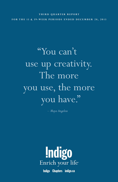#### **T H I R D Q U A R T E R R E P O R T**

**F O R T H E 13** *&* **39- W E E K P E R I O D S E N D E D D E C E M B E R 2 8 , 2 0 1 3**

"You can't use up creativity. The more you use, the more you have."

*– Maya Angelou* 



Indigo Chapters indigo.ca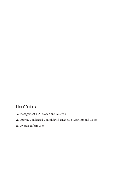Table of Contents

- **2.** Management's Discussion and Analysis
- **21.** Interim Condensed Consolidated Financial Statements and Notes
- **36.** Investor Information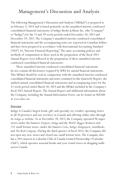# Management's Discussion and Analysis

The following Management's Discussion and Analysis ("MD*&*A") is prepared as at February 4, 2014 and is based primarily on the unaudited interim condensed consolidated financial statements of Indigo Books *&* Music Inc. (the "Company" or "Indigo") for the 13 and 39-week periods ended December 28, 2013 and December 29, 2012. The Company's unaudited interim condensed consolidated financial statements and the accompanying notes are reported in Canadian dollars and have been prepared in accordance with International Accounting Standard ("IAS") 34, "Interim Financial Reporting." The same accounting policies and methods of computation as those used in the preparation of the fiscal 2013 Annual Report were followed in the preparation of these unaudited interim condensed consolidated financial statements.

These unaudited interim condensed consolidated financial statements do not contain all disclosures required by IFRS for annual financial statements. This MD*&*A should be read in conjunction with the unaudited interim condensed consolidated financial statements and notes contained in this Quarterly Report, the audited annual consolidated financial statements and accompanying notes for the 52-week period ended March 30, 2013 and the MD*&*A included in the Company's fiscal 2013 Annual Report. The Annual Report and additional information about the Company, including the Annual Information Form, can be found on SEDAR at *www.sedar.com*.

### Overview

Indigo is Canada's largest book, gift, and specialty toy retailer, operating stores in all 10 provinces and one territory in Canada and offering online sales through its *indigo.ca* website. As at December 28, 2013, the Company operated 96 superstores under the banners *Chapters*, *Indigo* and the *World's Biggest Bookstore* and 131 small format stores, under the banners *Coles*, *Indigo*, *Indigospirit*, *SmithBooks*, and *The Book Company*. During the third quarter of fiscal 2014, the Company did not open any new stores and closed one small format store. The Company also has a 50% interest in Calendar Club of Canada Limited Partnership ("Calendar Club"), which operates seasonal kiosks and year-round stores in shopping malls across Canada.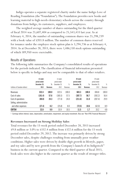Indigo operates a separate registered charity under the name Indigo Love of Reading Foundation (the "Foundation"). The Foundation provides new books and learning material to high-needs elementary schools across the country through donations from Indigo, its customers, suppliers, and employees.

The weighted average number of shares outstanding for the third quarter of fiscal 2014 was 25,607,404 as compared to 25,543,433 last year. As at February 4, 2014, the number of outstanding common shares was 25,298,239 with a book value of \$203.8 million. The number of common shares reserved for issuance under the employee stock option plan is 3,294,736 as at February 4, 2014. As at December 28, 2013, there were 1,486,150 stock options outstanding of which 189,950 were exercisable.

### Results of Operations

The following table summarizes the Company's consolidated results of operations for the periods indicated. The classification of financial information presented below is specific to Indigo and may not be comparable to that of other retailers.

|                                | 13-week      |          | 13-week      |          | 39-week      |                 | 39-week      |          |
|--------------------------------|--------------|----------|--------------|----------|--------------|-----------------|--------------|----------|
|                                | period ended |          | period ended |          | period ended |                 | period ended |          |
|                                | December 28. | %        | December 29. | %        | December 28. | %               | December 29. | %        |
| (millions of Canadian dollars) | 2013         | Revenues | 2012         | Revenues | 2013         | <b>Revenues</b> | 2012         | Revenues |
| Revenues                       | 332.4        | 100.0    | 322.6        | 100.0    | 683.3        | 100.0           | 694.8        | 100.0    |
| Cost of sales                  | (191.4)      | 57.6     | (185.5)      | 57.5     | (387.7)      | 56.7            | (392.2)      | 56.4     |
| Cost of operations             | (80.8)       | 24.3     | (77.4)       | 24.0     | (211.6)      | 31.0            | (207.4)      | 29.9     |
| Selling, administrative        |              |          |              |          |              |                 |              |          |
| and other expenses             | (27.4)       | 8.2      | (25.8)       | 8.0      | (72.5)       | 10.6            | (62.0)       | 8.9      |
| <b>EBITDA!</b>                 | 32.8         | 9.9      | 33.9         | 10.5     | 11.5         | 1.7             | 33.2         | 4.8      |

1 Earnings before interest, taxes, depreciation, amortization, impairment, and equity investment. Also see "Non-IFRS Financial Measures".

#### **Revenues Increased on Strong Holiday Sales**

Total revenues for the 13-week period ended December 28, 2013 increased \$9.8 million or 3.0% to \$332.4 million from \$322.6 million for the 13-week period ended December 29, 2012. The increase was primarily driven by strong December sales, despite challenges resulting from unusually poor weather conditions. Higher sales were driven by double-digit growth in lifestyle, paper, and toy sales and by new growth from the Company's launch of its Indigotech™ business in the current quarter. Compared to the third quarter of fiscal 2013, book sales were also higher in the current quarter as the result of stronger titles.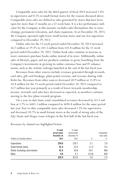Comparable store sales for the third quarter of fiscal 2014 increased 2.6% in superstores and 0.5% in small format stores for the reasons discussed above. Comparable store sales are defined as sales generated by stores that have been open for more than 12 months on a 52-week basis. It is a key performance indicator for the Company as this measure excludes sales fluctuations due to store closings, permanent relocation, and chain expansion. As at December 28, 2013, the Company operated eight fewer small format stores and one less superstore compared to December 29, 2012.

Online sales for the 13-week period ended December 28, 2013 increased \$6.7 million or 19.3% to \$41.5 million from \$34.8 million for the 13-week period ended December 29, 2012. Online book sales continue to increase as more customers purchase books online instead of in-store. Additionally, online sales of lifestyle, paper, and toy products continue to grow, benefiting from the Company's investments in growing its online customer base and IT enhancements, such as the website redesign launched at the end of the last fiscal year.

Revenues from other sources include revenues generated through irewards card sales, gift card breakage, plum points revenue, and revenue-sharing with Kobo Inc. Revenues from other sources decreased \$0.9 million or 15.8% to \$4.8 million for the 13-week period ended December 28, 2013 compared to \$5.7 million last year primarily as a result of lower irewards membership income. irewards card sales have decreased as expected, as members continue moving to the free plum rewards program.

On a year-to-date basis, total consolidated revenues decreased by \$11.5 million or 1.7% to \$683.3 million compared to \$694.8 million for the same period last year. Year-to-date comparable store sales decreased 1.5% for superstores and decreased 10.7% in small format stores as the result of strong sales of the *Fifty Shades* and *Hunger Games* trilogies in the first half of the last fiscal year.

|                                 | 13-week<br>period ended | 13-week<br>period ended |        | Comparable  |
|---------------------------------|-------------------------|-------------------------|--------|-------------|
|                                 | December 28.            | December 29.            |        | store sales |
| (millions of Canadian dollars)  | 2013                    | 2012                    | %      | %           |
| Superstores                     | 234.6                   | 229.7                   | 2.1    | 2.6         |
| Small format stores             | 51.5                    | 52.4                    | (1.7)  | 0.5         |
| Online (including store kiosks) | 41.5                    | 34.8                    | 19.3   | N/A         |
| <b>Other</b>                    | 4.8                     | 5.7                     | (15.8) | N/A         |
|                                 | 332.4                   | 322.6                   | 3.0    | 2.3         |

Revenues by channel are highlighted below: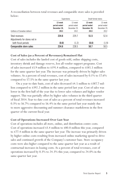|                                                  | Superstores                             |                                         | Small format stores                     |                                         |  |  |
|--------------------------------------------------|-----------------------------------------|-----------------------------------------|-----------------------------------------|-----------------------------------------|--|--|
|                                                  | 13-week<br>period ended<br>December 28. | 13-week<br>period ended<br>December 29. | 13-week<br>period ended<br>December 28. | 13-week<br>period ended<br>December 29, |  |  |
| (millions of Canadian dollars)<br>Total revenues | 2013<br>234.6                           | 2012<br>229.7                           | 2013<br>51.5                            | 2012<br>52.4                            |  |  |
| Adjustments for stores not in                    |                                         |                                         |                                         |                                         |  |  |
| both fiscal periods                              | (0.0)                                   | (1.2)                                   | (0.8)                                   | (1.9)                                   |  |  |
| Comparable store sales                           | 234.6                                   | 228.5                                   | 50.7                                    | 50.5                                    |  |  |

A reconciliation between total revenues and comparable store sales is provided below:

### **Cost of Sales (as a Percent of Revenues) Remained Flat**

Cost of sales includes the landed cost of goods sold, online shipping costs, inventory shrink and damage reserve, less all vendor support programs. Cost of sales increased \$5.9 million to \$191.4 million, compared to \$185.5 million for the same quarter last year. The increase was primarily driven by higher sales volumes. As a percent of total revenues, cost of sales increased by 0.1% to 57.6% compared to 57.5% in the same quarter last year.

On a year-to-date basis, cost of sales decreased \$4.5 million to \$387.7 million compared to \$392.2 million in the same period last year. Cost of sales was lower in the first half of the year due to lower sales volumes and higher vendor support. This was partially offset by higher sales volumes in the third quarter of fiscal 2014. Year-to-date cost of sales as a percent of total revenues increased 0.3% to 56.7% compared to 56.4% in the same period last year mainly due to more aggressive discounting and summer clearance markdowns in the first quarter of the current fiscal year.

### **Cost of Operations Increased Over Last Year**

Cost of operations includes all store, online, and distribution centre costs. Cost of operations increased \$3.4 million to \$80.8 million this year, compared to \$77.4 million in the same quarter last year. The increase was primarily driven by higher online costs resulting from increased online marketing spend to drive sales and continued growth of the Company's customer base. Store occupancy costs were also higher compared to the same quarter last year as a result of contractual increases in leasing costs. As a percent of total revenues, cost of operations increased by 0.3% to 24.3% this year, compared to 24.0% in the same quarter last year.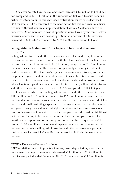On a year-to-date basis, cost of operations increased \$4.2 million to \$211.6 million compared to \$207.4 million in the same period last year. Despite handling higher inventory volumes this year, retail distribution centre costs decreased \$0.8 million, or 3.6%, compared to the same period last year as a result of efficiencies gained through continual implementation of various Galileo productivity initiatives. Other increases in cost of operations were driven by the same factors discussed above. Year-to-date cost of operations as a percent of total revenues increased 1.1% to 31.0% compared to 29.9% in the same period last year.

## **Selling, Administrative and Other Expenses Increased Compared to Last Year**

Selling, administrative and other expenses include retail marketing, head office costs and operating expenses associated with the Company's transformation. These expenses increased \$1.6 million to \$27.4 million, compared to \$25.8 million for the same quarter last year. The increase was primarily driven by investments made in relation to the Company's ongoing transformational strategy to become the premiere year-round gifting destination in Canada. Investments were made in the areas of store transformations, online enhancements, and improvements to internal system capabilities. As a percent of total revenues, selling, administrative and other expenses increased by 0.2% to 8.2%, compared to 8.0% last year.

On a year-to-date basis, selling, administrative and other expenses increased \$10.5 million to \$72.5 million compared to \$62.0 million in the same period last year due to the same factors mentioned above. The Company incurred higher creative and retail marketing expenses to drive awareness of new products in its key growth categories and incurred higher employee and severance costs as a result of investments in talent to drive the Company's transformation. Additional factors contributing to increased expenses include the Company's offer of a one-time cash repurchase to certain option holders in the first quarter, which resulted in \$0.4 million of incremental expense compared to the same period last year. Year-to-date selling, administrative and other expenses as a percent of total revenues increased 1.7% to 10.6% compared to 8.9% in the same period last year.

### **EBITDA Decreased Versus Last Year**

EBITDA, defined as earnings before interest, taxes, depreciation, amortization, impairment, and equity investment decreased \$1.1 million to \$32.8 million for the 13-week period ended December 28, 2013, compared to \$33.9 million for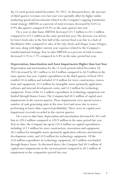the 13-week period ended December 29, 2012. As discussed above, the increase of third quarter revenues over last year were partially offset by higher online marketing spend and investments related to the Company's ongoing transformational strategy. EBITDA as a percent of total revenues decreased by 0.6% to 9.9% this quarter compared 10.5% to the same quarter last year.

On a year-to-date basis, EBITDA decreased \$21.7 million to \$11.5 million compared to \$33.2 million in the same period last year. The decrease was driven by lower book sales in the first half of the current fiscal year due to a lack of blockbuster titles compared to sales of the *Fifty Shades* and *Hunger Games* trilogies last year, along with higher current year expenses related to the Company's transformational strategy.Year-to-date EBITDA as a percent of total revenues decreased 3.1% to 1.7% compared to 4.8% in the same period last year.

**Depreciation, Amortization and Asset Impairments Higher than Last Year** Depreciation and amortization for the 13-week period ended December 28, 2013 decreased by \$0.1 million to \$6.8 million compared to \$6.9 million in the same quarter last year. Capital expenditures in the third quarter of fiscal 2014 totalled \$11.6 million and included \$7.8 million for store construction, renovations and equipment, \$2.5 million for intangible assets (primarily application software and internal development costs), and \$1.3 million for technology equipment. None of the \$1.3 million expenditure in technology equipment was funded through finance leases. The Company had \$0.5 million of capital asset impairments in the current quarter. These impairments were spread across a number of cash-generating units at the store level and arose due to stores performing at lower-than-expected profitability. There were no capital asset impairment reversals recorded in the current quarter.

On a year-to-date basis, depreciation and amortization decreased by \$0.5 million to \$20.4 million compared to \$20.9 million in the same period last year. Year-to-date, the Company has spent \$24.4 million on capital expenditures, including \$13.3 million for store construction, renovations and equipment, \$8.1 million for intangible assets (primarily application software and internal development costs), and \$3.0 million for technology equipment. Of the \$3.0 million expenditure in technology equipment, \$0.1 million was funded through finance leases. As discussed above, the Company had \$0.5 million of capital asset impairments in the current period compared to \$0.3 million of impairment in the comparative period last year.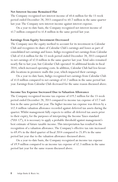#### **Net Interest Income Remained Flat**

The Company recognized net interest income of \$0.6 million for the 13-week period ended December 28, 2013 compared to \$0.7 million in the same quarter last year. The Company nets interest income against interest expense.

On a year-to-date basis, the Company recognized net interest income of \$1.7 million compared to \$1.8 million in the same period last year.

#### **Earnings from Equity Investment Decreased**

The Company uses the equity method to account for its investment in Calendar Club and recognizes its share of Calendar Club's earnings and losses as part of consolidated net earnings and losses. Indigo recognized net earnings from Calendar Club of \$1.6 million for the 13-week period ended December 28, 2013 compared to net earnings of \$2.0 million in the same quarter last year. Total sales remained nearly flat to last year, but Calendar Club operated 16 additional kiosks in fiscal 2014, which increased operating costs. In addition, Calendar Club had less favour able locations in premiere malls this year, which impacted their earnings.

On a year-to-date basis, Indigo recognized net earnings from Calendar Club of \$1.0 million compared to net earnings of \$1.2 million in the same period last year. Earnings from Calendar Club decreased for the same reason discussed above.

#### **Income Tax Expense Increased Due to Valuation Allowance**

The Company recognized income tax expense of \$19.2 million for the 13-week period ended December 28, 2013 compared to income tax expense of \$7.7 million in the same period last year. The higher income tax expense was driven by a \$12.4 million valuation allowance recorded against deferred tax assets during the quarter. Whilst management fully expects to utilize all deferred tax assets prior to their expiry, for the purposes of interpreting the Income Taxes standard ("IAS 12"), it is necessary to apply a probable threshold against management's best estimate of future taxable income. This interpretation has resulted in the recognition of a valuation allowance. The Company's effective tax rate increased to 69.4% in the third quarter of fiscal 2014 compared to 25.8% in the same period last year due to the valuation allowance discussed above.

On a year-to-date basis, the Company recognized an income tax expense of \$9.9 million compared to an income tax expense of \$2.3 million in the same period last year for the same reason discussed above.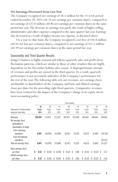#### **Net Earnings Decreased from Last Year**

The Company recognized net earnings of \$8.5 million for the 13-week period ended December 28, 2013 (\$0.33 net earnings per common share), compared to net earnings of \$22.0 million (\$0.86 net earnings per common share) in the same period last year. The decrease in earnings was partly the result of higher selling, administrative and other expenses compared to the same quarter last year. Earnings also decreased as a result of higher income tax expense, as discussed above.

On a year-to-date basis, the Company recognized a net loss of \$16.6 million (\$0.65 net loss per common share), compared to net earnings of \$12.5 million (\$0.49 net earnings per common share) in the same period last year.

### Seasonality and Third Quarter Results

Indigo's business is highly seasonal and follows quarterly sales and profit (loss) fluctuation patterns, which are similar to those of other retailers that are highly dependent on the December holiday sales season. A disproportionate amount of revenues and profits are earned in the third quarter. As a result, quarterly performance is not necessarily indicative of the Company's performance for the rest of the year. The following table sets out revenues, net earnings (loss) attributable to shareholders of the Company, and basic and diluted earnings (loss) per share for the preceding eight fiscal quarters. Comparative revenues have been restated for the impact of the Company's change in its equity investment accounting policy.

|                                                                                     | Fiscal quarters |    |                |     |                |    |                |    |                |    |                |                   |   |                |
|-------------------------------------------------------------------------------------|-----------------|----|----------------|-----|----------------|----|----------------|----|----------------|----|----------------|-------------------|---|----------------|
|                                                                                     | 03              |    | Q <sub>2</sub> |     | Q <sub>1</sub> |    | Q <sub>4</sub> |    | 0 <sub>3</sub> |    | Q <sub>2</sub> | 01                |   | Q <sub>4</sub> |
| (thousands of Canadian dollars,                                                     | Fiscal          |    | Fiscal         |     | Fiscal         |    | Fiscal         |    | Fiscal         |    | Fiscal         | Fiscal            |   | Fiscal         |
| except per share data)                                                              | 2014            |    | 2014           |     | 2014           |    | 2013           |    | 2013           |    | 2013           | 2013              |   | 2012           |
| Revenues                                                                            | 332,393         |    | 179,417        |     | 171,525        |    | 183,976        |    | 322,620        |    | 185,563        | 186,626           |   | 194,853        |
| Net earnings (loss)<br>attributable to<br>shareholders of Indigo<br>From continuing |                 |    |                |     |                |    |                |    |                |    |                |                   |   |                |
| operations<br>From discontinued                                                     | 8,497           |    | (10,070)       |     | (15,048)       |    | (8,247)        |    | 22,035         |    | (4,013)        | (5, 487)          |   | (10, 726)      |
| operations                                                                          |                 |    |                |     |                |    |                |    |                |    |                | -                 |   | 142,253        |
| Total net earnings (loss)                                                           | 8,497           |    | (10,070)       |     | (15,048)       |    | (8,247)        |    | 22,035         |    | (4,013)        | (5, 487)          |   | 131,527        |
| Basic earnings (loss)                                                               |                 |    |                |     |                |    |                |    |                |    |                |                   |   |                |
| per share                                                                           | \$<br>0.33      | \$ | (0.39)         | \$  | (0.59)         | \$ | (0.32)         | \$ | 0.86           | \$ | (0.16)         | \$<br>$(0.22)$ \$ |   | 5.21           |
| Diluted earnings (loss)                                                             |                 |    |                |     |                |    |                |    |                |    |                |                   |   |                |
| per share                                                                           | \$<br>0.33      | \$ | (0.39)         | \$. | (0.59)         | \$ | (0.32)         | \$ | 0.86           | \$ | (0.16)         | \$<br>(0.22)      | S | 5.16           |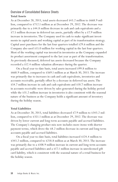# Overview of Consolidated Balance Sheets

### **Total Assets**

As at December 28, 2013, total assets decreased \$43.2 million to \$668.9 million, compared to \$712.1 million as at December 29, 2012. The decrease was primarily due to a \$44.8 million decrease in cash and cash equivalents and a \$7.5 million decrease in deferred tax assets, partially offset by a \$7.9 million increase in inventories. The Company used its cash to make significant investments in capital assets and working capital as part of its transformation strategy. Capital asset purchases for the last four quarters totalled \$29.6 million and the Company also used \$15.0 million for working capital in the last four quarters. Most of the working capital was invested in inventories as the Company expanded its product assortment compared to the last year as part of the transformation. As previously discussed, deferred tax assets decreased because the Company recorded a \$12.4 million valuation allowance during the quarter.

On a fiscal year-to-date basis, total assets increased \$99.8 million to \$668.9 million, compared to \$569.1 million as at March 30, 2013. The increase was primarily due to increases in cash and cash equivalents, inventories and accounts receivable, partially offset by a decrease in deferred tax assets. The \$54.7 million increase in cash and cash equivalents and \$18.7 million increase in accounts receivable were driven by sales generated during the holiday period while the \$31.2 million increase in inventories is also consistent with the seasonal nature of the business as the Company holds a significant amount of inventory during the holiday season.

### **Total Liabilities**

As at December 28, 2013, total liabilities decreased \$7.9 million to \$343.2 million, compared to \$351.1 million as at December 29, 2012. The decrease was driven by lower current and long-term accounts payable and accrued liabilities. The Company's changing product mix now includes more items with shorter payment terms, which drove the \$8.2 million decrease in current and long-term accounts payable and accrued liabilities.

On a fiscal year-to-date basis, total liabilities increased \$124.4 million to \$343.2 million, compared to \$218.8 million as at March 30, 2013. The increase was primarily due to a \$108.9 million increase in current and long-term accounts payable and accrued liabilities and a \$17.1 million increase in unredeemed gift card liability, which is consistent with the seasonal nature of a retail business for the holiday season.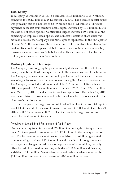### **Total Equity**

Total equity at December 28, 2013 decreased \$35.3 million to \$325.7 million, compared to \$361.0 million as at December 28, 2012. The decrease in total equity was primarily due to a net loss of \$24.9 million and \$11.1 million of dividend payments in the last four quarters. Share capital increased by \$0.1 million due to the exercise of stock options. Contributed surplus increased \$0.6 million as the expensing of employee stock options and Directors' deferred share units was partially offset by the Company's one-time options repurchase. In the first quarter of fiscal 2014, the Company offered a one-time cash repurchase to certain option holders. Unamortized expense related to repurchased options was immediately recognized and increased contributed surplus. This increase was offset by the cash payment made to the option holders.

### **Working Capital and Leverage**

The Company's working capital position usually declines from the end of its fiscal year until the third fiscal quarter due to the seasonal nature of the business. The Company relies on cash and accounts payable to fund the business before generating a disproportionate amount of cash during the December holiday season. The Company reported working capital of \$204.7 million as at December 28, 2013, compared to \$235.2 million as at December 29, 2012 and \$224.3 million as at March 30, 2013. The decrease in working capital from December 29, 2012 was mainly driven by lower cash and cash equivalents due to money spent in the Company's transformation.

The Company's leverage position (defined as Total Liabilities to Total Equity) was 1.1:1 at the end of the current quarter compared to 1.0:1 as at December 29, 2012 and 0.6:1 as at March 30, 2013. The increase in leverage position was driven by the decrease in total equity.

## Overview of Consolidated Statements of Cash Flows

Cash and cash equivalents increased \$99.0 million during the third quarter of fiscal 2014 compared to an increase of \$117.8 million in the same quarter last year. The increase in the current quarter was driven by cash flows generated from operating activities of \$112.6 million and the effect of foreign currency exchange rate changes on cash and cash equivalents of \$0.4 million, partially offset by cash flows used in investing activities of \$11.0 million and financing activities of \$3.0 million.Year-to-date, cash and cash equivalents increased by \$54.7 million compared to an increase of \$103.4 million last year.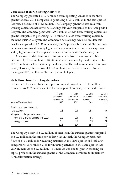### **Cash Flows from Operating Activities**

The Company generated \$112.6 million from operating activities in the third quarter of fiscal 2014 compared to generating \$125.5 million in the same period last year, a decrease of \$12.9 million. The Company generated less cash from working capital and had lower net earnings this year compared to the same period last year. The Company generated \$79.6 million of cash from working capital this quarter compared to generating \$91.4 million of cash from working capital in the same quarter last year. The Company's net earnings was \$8.5 million this quarter compared to \$22.0 million last year. As previously discussed, the decrease in net earnings was driven by higher selling, administrative and other expenses and by higher income tax expense compared to the same quarter last year.

On a year-to-date basis, cash flows generated from operating activities decreased by \$36.9 million to \$86.8 million in the current period compared to \$123.7 million used in the same period last year. The reduction in cash flows was mainly driven by the net loss of \$16.6 million year-to-date compared to net earnings of \$12.5 million in the same period last year.

| (millions of Canadian dollars)                   | 13-week<br>period ended<br>December 28.<br>2013 | 13-week<br>period ended<br>December 29.<br>2012 | 39-week<br>period ended<br>December 28.<br>2013 | 39-week<br>period ended<br>December 29,<br>2012 |
|--------------------------------------------------|-------------------------------------------------|-------------------------------------------------|-------------------------------------------------|-------------------------------------------------|
| Store construction, renovations<br>and equipment | 7.8                                             | 2.5                                             | 13.3                                            | 4.9                                             |
| Intangible assets (primarily application         |                                                 |                                                 |                                                 |                                                 |
| software and internal development costs)         | 2.5                                             | 2.3                                             | 8.1                                             | 6.9                                             |
| Technology equipment                             | 1.3                                             | 0.9                                             | 2.9                                             | 2.0                                             |
|                                                  | 11.6                                            | 5.7                                             | 24.3                                            | 13.8                                            |

### **Cash Flows from Investing Activities**

In the current quarter, total cash spent on capital projects was \$11.6 million compared to \$5.7 million spent in the same period last year, as outlined below:

The Company received \$0.6 million of interest in the current quarter compared to \$0.7 million in the same period last year. In total, the Company used cash flows of \$11.0 million for investing activities in the third quarter of fiscal 2014 compared to \$5.0 million used for investing activities in the same quarter last year, an increase of \$6.0 million. The increase was due to greater spending on capital projects in the current quarter as the Company continues to implement its transformation strategy.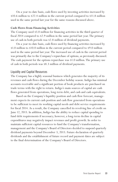On a year-to-date basis, cash flows used by investing activities increased by \$10.6 million to \$22.4 million in the current period compared to \$11.8 million used in the same period last year for the same reasons discussed above.

### **Cash Flows from Financing Activities**

The Company used \$3.0 million for financing activities in the third quarter of fiscal 2014 compared to \$2.9 million in the same period last year. The primary use of cash in both periods was \$2.8 million of dividend payments.

On a year-to-date basis, cash flows used by financing activities increased by \$1.0 million to \$10.0 million in the current period compared to \$9.0 million used in the same period last year. The increased use of cash in the current period was primarily due to the Company's repurchase of options, as previously discussed. The cash payment for the options repurchase was \$1.0 million. The primary use of cash in both periods was \$8.3 million of dividend payments.

### Liquidity and Capital Resources

The Company has a highly seasonal business which generates the majority of its revenues and cash flows during the December holiday season. Indigo has minimal accounts receivable and a significant portion of book products are purchased on trade terms with the right to return. Indigo's main sources of capital are cash flows generated from operations, long-term debt, and cash and cash equivalents.

Based on the Company's liquidity position and cash flow forecast, management expects its current cash position and cash flow generated from operations to be sufficient to meet its working capital needs and debt service requirements for fiscal 2014. As a result, the Company cancelled its revolving line of credit on June 12, 2013. In addition, Indigo has the ability to reduce capital spending to fund debt requirements if necessary; however, a long-term decline in capital expenditures may negatively impact revenues and profit growth. In order to maintain sufficient capital resources to fund the Company's transformation, management and the Company's Board of Directors decided to suspend quarterly dividend payments beyond December 3, 2013. Future declaration of quarterly dividends and the establishment of future record and payment dates are subject to the final determination of the Company's Board of Directors.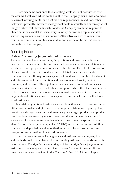There can be no assurance that operating levels will not deteriorate over the ensuing fiscal year, which could result in the Company being unable to meet its current working capital and debt service requirements. In addition, other factors not presently known to management could materially and adversely affect Indigo's future cash flows. In such events, the Company would be required to obtain additional capital as is necessary to satisfy its working capital and debt service requirements from other sources. Alternative sources of capital could result in increased dilution to shareholders and may be on terms that are not favourable to the Company.

### Accounting Policies

#### **Critical Accounting Judgments and Estimates**

The discussion and analysis of Indigo's operations and financial condition are based upon the unaudited interim condensed consolidated financial statements, which have been prepared in accordance with IFRS and IAS 34. The preparation of these unaudited interim condensed consolidated financial statements in conformity with IFRS requires management to undertake a number of judgments and estimates about the recognition and measurement of assets, liabilities, revenues, and expenses. These judgments and estimates are based on management's historical experience and other assumptions which the Company believes to be reasonable under the circumstances. Actual results may differ from the judgments and estimates made by management, and actual results will seldom equal estimates.

Material judgments and estimates are made with respect to: revenue recognition from unredeemed gift cards and plum points; fair value of plum points; inventory shrinkage; reserves for slow-moving or damaged products and products that have been permanently marked down; vendor settlement; fair value of share-based instruments and number of equity instruments expected to vest; identification of cash generating units ("CGUs") and expected future cash flows from CGUs; depreciation and amortization periods; lease classification; and recognition and valuation of deferred tax assets.

The Company evaluates its judgments and estimates on an ongoing basis and methods used to calculate critical accounting estimates are consistent with prior periods. The significant accounting policies and significant judgments and estimates of the Company are described in notes 3 and 4 of the consolidated financial statements contained in the Company's fiscal 2013 Annual Report.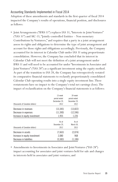# Accounting Standards Implemented in Fiscal 2014

Adoption of these amendments and standards in the first quarter of fiscal 2014 impacted the Company's results of operations, financial position, and disclosures as follows:

• Joint Arrangements ("IFRS 11") replaces IAS 31, "Interests in Joint Ventures" ("IAS 31") and SIC-13, "Jointly-controlled Entities – Non-monetary Contributions by Venturers," and requires that a party in a joint arrangement assess its rights and obligations to determine the type of joint arrangement and account for those rights and obligations accordingly. Previously, the Company accounted for its interest in Calendar Club under IAS 31 using proportionate consolidation. However, the Company has concluded that its interest in Calendar Club will not meet the definition of a joint arrangement under IFRS 11 and will need to be accounted for under "Investments in Associates and Joint Ventures" ("IAS 28") as a significant investment using the equity method. As part of the transition to IAS 28, the Company has retrospectively restated its comparative financial statements to reclassify proportionately consolidated Calendar Club operating results into a single equity investment line. These restatements have no impact to the Company's total net earnings (loss). The impact of reclassification on the Company's financial statements is as follows:

| (thousands of Canadian dollars) | 13-week<br>period ended<br>Dectember 29,<br>2012 | 39-week<br>period ended<br>December 29,<br>2012 |
|---------------------------------|--------------------------------------------------|-------------------------------------------------|
| Decrease in revenues            | (13, 345)                                        | (13, 822)                                       |
| Decrease in expenses            | (11,390)                                         | (12, 596)                                       |
| Increase in equity investment   | 1,955                                            | 1,226                                           |
|                                 | As at<br>December 29,                            | As at<br>March 30,                              |
| (thousands of Canadian dollars) | 2012                                             | 2013                                            |
| Decrease in assets              | (7,663)                                          | (2,074)                                         |
| Increase in equity investment   | 2,080                                            | 968                                             |
| Decrease in liabilities         | (5,583)                                          | (1,106)                                         |

• Amendments to Investments in Associates and Joint Ventures ("IAS 28") impact accounting for associates and joint ventures held for sale and changes in interests held in associates and joint ventures; and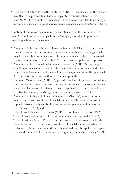• Disclosure of Interests in Other Entities ("IFRS 12") includes all of the disclos ures that were previously in IAS 27, "Separate Financial Statements," IAS 31 and IAS 28, "Investments in Associates." These disclosures relate to an entity's interests in subsidiaries, joint arrangements, associates, and structured entities.

Adoption of the following amendments and standards in the first quarter of fiscal 2014 did not have an impact on the Company's results of operations, financial position, or disclosures:

- Amendments to Presentation of Financial Statements ("IAS 1") require companies to group together items within other comprehensive earnings which may be reclassified to net earnings. The amendments are effective for annual periods beginning on or after July 1, 2012 and must be applied retrospectively;
- Amendments to Financial Instruments: Disclosures ("IFRS 7") regarding the offsetting of financial instruments. These amendments must be applied retrospectively and are effective for annual periods beginning on or after January 1, 2013 and interim periods within those annual periods;
- Fair Value Measurement ("IFRS 13") provides guidance to improve consistency and comparability in fair value measurements and related disclosures through a fair value hierarchy. This standard must be applied retrospectively and is effective for annual periods beginning on or after January 1, 2013;
- Amendments to Separate Financial Statements ("IAS 27") remove all requirements relating to consolidated financial statements. This standard must be applied retrospectively and is effective for annual periods beginning on or after January 1, 2013; and
- Consolidated Financial Statements ("IFRS 10") replaces portions of IAS 27, "Consolidated and Separate Financial Statements" and supersedes SIC-12, "Consolidation – Special Purpose Entities," and establishes standards for the presentation and preparation of consolidated financial statements when an entity controls one or more entities. This standard must be applied retrospectively and is effective for annual periods beginning on or after January 1, 2013.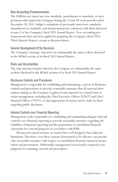## New Accounting Pronouncements

The IASB has not issued any new standards, amendments to standards, or interpretations that impact the Company during the 13 and 39-week periods ended December 28, 2013. Indigo's evaluations of previously issued new standards, amendments to standards, and interpretations are consistent with those disclosed in note 5 of the Company's fiscal 2013 Annual Report. New accounting pronouncements have not been applied in preparing the Company's fiscal 2014 Third Quarter Report, except as discussed above.

## General Development of the Business

The Company's strategic objectives are substantially the same as those disclosed in the MD*&*A section of its fiscal 2013 Annual Report.

## Risks and Uncertainties

The risks and uncertainties faced by the Company are substantially the same as those disclosed in the MD*&*A section of its fiscal 2013 Annual Report.

## Disclosure Controls and Procedures

Management is responsible for establishing and maintaining a system of disclosure controls and procedures to provide reasonable assurance that all material information relating to the Company is gathered and reported on a timely basis to senior management, including the Chief Executive Officer ("CEO") and Chief Financial Officer ("CFO"), so that appropriate decisions can be made by them regarding public disclosure.

## Internal Controls over Financial Reporting

Management is also responsible for establishing and maintaining adequate internal controls over financial reporting to provide reasonable assurance regarding the reliability of financial reporting and the preparation of consolidated financial statements for external purposes in accordance with IFRS.

All internal control systems, no matter how well designed, have inherent limitations. Therefore, even those systems determined to be effective can provide only reasonable assurance with respect to consolidated financial statement preparation and presentation. Additionally, management is necessarily required to use judgment in evaluating controls and procedures.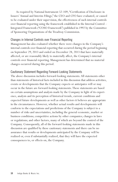As required by National Instrument 52-109, "Certification of Disclosure in Issuers' Annual and Interim Filings," the CEO and CFO have evaluated, or caused to be evaluated under their supervision, the effectiveness of such internal controls over financial reporting using the framework established in the Internal Control – Integrated Framework ("COSO Framework") published in 1992 by the Committee of Sponsoring Organizations of the Treadway Commission.

### Changes in Internal Controls over Financial Reporting

Management has also evaluated whether there were changes in the Company's internal controls over financial reporting that occurred during the period beginning on September 29, 2013 and ended on December 28, 2013 that have materially affected, or are reasonably likely to materially affect, the Company's internal controls over financial reporting. Management has determined that no material changes occurred during this period.

### Cautionary Statement Regarding Forward-Looking Statements

The above discussion includes forward-looking statements. All statements other than statements of historical facts included in this discussion that address activities, events or developments that the Company expects or anticipates will or may occur in the future are forward-looking statements. These statements are based on certain assumptions and analysis made by the Company in light of its experience, analysis and its perception of historical trends, current conditions and expected future developments as well as other factors it believes are appropriate in the circumstances. However, whether actual results and developments will conform to the expectations and predictions of the Company is subject to a number of risks and uncertainties, including the general economic, market or business conditions; competitive actions by other companies; changes in laws or regulations; and other factors, many of which are beyond the control of the Company. Consequently, all of the forward-looking statements made in this discussion are qualified by these cautionary statements and there can be no assurance that results or developments anticipated by the Company will be realized or, even if substantially realized, that they will have the expected consequences to, or effects on, the Company.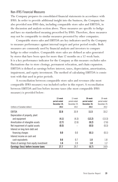## Non-IFRS Financial Measures

The Company prepares its consolidated financial statements in accordance with IFRS. In order to provide additional insight into the business, the Company has also provided non-IFRS data, including comparable store sales and EBITDA, in the discussion and analysis section above. These measures are specific to Indigo and have no standardized meaning prescribed by IFRS. Therefore, these measures may not be comparable to similar measures presented by other companies.

Comparable stores sales and EBITDA are key indicators used by the Company to measure performance against internal targets and prior period results. Both measures are commonly used by financial analysts and investors to compare Indigo to other retailers. Comparable store sales are defined as sales generated by stores that have been open for more than 12 months on a 52-week basis. It is a key performance indicator for the Company as this measure excludes sales fluctuations due to store closings, permanent relocation, and chain expansion. EBITDA is defined as earnings before interest, taxes, depreciation, amortization, impairment, and equity investment. The method of calculating EBITDA is consistent with that used in prior periods.

A reconciliation between comparable store sales and revenues (the most comparable IFRS measure) was included earlier in this report. A reconciliation between EBITDA and loss before income taxes (the most comparable IFRS measure) is provided below:

| (millions of Canadian dollars)           | 13-week<br>period ended<br>December 28,<br>2013 | 13-week<br>period ended<br>December 29,<br>2012 | 39-week<br>period ended<br>December 28,<br>2013 | 39-week<br>period ended<br>December 29,<br>2012 |
|------------------------------------------|-------------------------------------------------|-------------------------------------------------|-------------------------------------------------|-------------------------------------------------|
| EBITDA                                   | 32.8                                            | 33.9                                            | 11.5                                            | 33.2                                            |
| Depreciation of property, plant          |                                                 |                                                 |                                                 |                                                 |
| and equipment                            | (4.1)                                           | (4.3)                                           | (12.2)                                          | (13.3)                                          |
| Amortization of intangible assets        | (2.7)                                           | (2.6)                                           | (8.2)                                           | (7.6)                                           |
| Net impairment of capital assets         | (0.5)                                           |                                                 | (0.5)                                           | (0.3)                                           |
| Interest on long-term debt and           |                                                 |                                                 |                                                 |                                                 |
| financing charges                        | 0.0                                             | 0.0                                             | (0.1)                                           | (0.1)                                           |
| Interest income on cash and              |                                                 |                                                 |                                                 |                                                 |
| cash equivalents                         | 0.6                                             | 0.7                                             | 1.8                                             | 1.8                                             |
| Share of earnings from equity investment | 1.6                                             | 2.0                                             | 1.0                                             | 1.2                                             |
| Earnings (loss) before income taxes      | 27.7                                            | 29.7                                            | (6.7)                                           | 14.9                                            |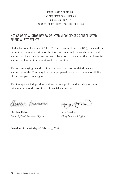Indigo Books & Music Inc. 468 King Street West, Suite 500 Toronto, ON M5V 1L8 Phone: (416) 364-4499 Fax: (416) 364-0355

# NOTICE OF NO AUDITOR REVIEW OF INTERIM CONDENSED CONSOLIDATED FINANCIAL STATEMENTS

Under National Instrument 51-102, Part 4, subsection 4.3(3)(a), if an auditor has not performed a review of the interim condensed consolidated financial statements, they must be accompanied by a notice indicating that the financial statements have not been reviewed by an auditor.

The accompanying unaudited interim condensed consolidated financial statements of the Company have been prepared by and are the responsibility of the Company's management.

The Company's independent auditor has not performed a review of these interim condensed consolidated financial statements.

Glatter Reisman

Heather Reisman Kay Brekken *Chair & Chief Executive Officer Chief Financial Officer*

Happ Proc

Dated as of the 4th day of February, 2014.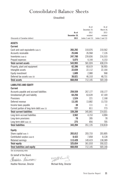# Consolidated Balance Sheets

## (Unaudited)

|                                             |              | As at            | As at                 |
|---------------------------------------------|--------------|------------------|-----------------------|
|                                             |              | December 29,     | March 30,             |
|                                             | As at        | 2012             | 2013                  |
|                                             | December 28. | restated         | restated              |
| (thousands of Canadian dollars)             | 2013         | (notes 3 and 15) | (notes $3$ and $15$ ) |
| <b>ASSETS</b>                               |              |                  |                       |
| <b>Current</b>                              |              |                  |                       |
| Cash and cash equivalents (note 5)          | 265.292      | 310,076          | 210,562               |
| Accounts receivable                         | 25,846       | 26,968           | 7,126                 |
| Inventories (note 6)                        | 247,780      | 239,836          | 216,533               |
| Prepaid expenses                            | 5,075        | 4,144            | 4,153                 |
| <b>Total current assets</b>                 | 543,993      | 581,024          | 438,374               |
| Property, plant and equipment               | 62,396       | 60,619           | 58,903                |
| Intangible assets                           | 22,039       | 22,112           | 22,164                |
| Equity investment                           | 1,609        | 2,080            | 968                   |
| Deferred tax assets (note 10)               | 38,821       | 46,310           | 48,731                |
| <b>Total assets</b>                         | 668,858      | 712,145          | 569,140               |
| <b>LIABILITIES AND EQUITY</b>               |              |                  |                       |
| <b>Current</b>                              |              |                  |                       |
| Accounts payable and accrued liabilities    | 259,559      | 267,177          | 150,177               |
| Unredeemed gift card liability              | 64,256       | 63,639           | 47,169                |
| Provisions                                  | 1,524        | 221              | 2,168                 |
| Deferred revenue                            | 13,185       | 13,882           | 13,733                |
| Income taxes payable                        | 38           | 111              | 11                    |
| Current portion of long-term debt (note 13) | 727          | 811              | 773                   |
| <b>Total current liabilities</b>            | 339,289      | 345,841          | 214,031               |
| Long-term accrued liabilities               | 3,562        | 4,153            | 4,004                 |
| Long-term provisions                        | 78           | 285              | 78                    |
| Long-term debt (note 13)                    | 275          | 856              | 705                   |
| <b>Total liabilities</b>                    | 343,204      | 351,135          | 218,818               |
| <b>Equity</b>                               |              |                  |                       |
| Share capital (note 7)                      | 203,812      | 203,733          | 203,805               |
| Contributed surplus (note 8)                | 8,422        | 7,858            | 8,128                 |
| Retained earnings                           | 113,420      | 149,419          | 138,389               |
| <b>Total equity</b>                         | 325,654      | 361,010          | 350,322               |
| <b>Total liabilities and equity</b>         | 668,858      | 712,145          | 569,140               |
|                                             |              |                  |                       |

See accompanying notes

On behalf of the Board:

Giostor Reisman

Heather Reisman, Director Michael Kirby, Director

rygeaus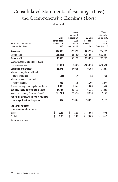# Consolidated Statements of Earnings (Loss) and Comprehensive Earnings (Loss)

(Unaudited)

|                                          |              |                       | 13-week      |              | 39-week               |
|------------------------------------------|--------------|-----------------------|--------------|--------------|-----------------------|
|                                          |              |                       | period ended |              | period ended          |
|                                          | 13-week      |                       | December 29, | 39-week      | December 29,          |
|                                          | period ended |                       | 2012         | period ended | 2012                  |
| (thousands of Canadian dollars,          | December 28. |                       | restated     | December 28. | restated              |
| except per share data)                   | 2013         | (notes $3$ and $15$ ) |              | 2013         | (notes $3$ and $15$ ) |
| <b>Revenues</b>                          | 332,393      |                       | 322,620      | 683,335      | 694,809               |
| Cost of sales                            | (191.433)    |                       | (185,500)    | (387, 657)   | (392, 184)            |
| Gross profit                             | 140,960      |                       | 137,120      | 295,678      | 302,625               |
| Operating, selling and administrative    |              |                       |              |              |                       |
| expenses (note 9)                        | (115, 389)   |                       | (110,032)    | (305, 073)   | (290, 768)            |
| <b>Operating profit (loss)</b>           | 25,571       |                       | 27,088       | (9, 395)     | 11,857                |
| Interest on long-term debt and           |              |                       |              |              |                       |
| financing charges                        | (25)         |                       | (17)         | (82)         | (69)                  |
| Interest income on cash and              |              |                       |              |              |                       |
| cash equivalents                         | 582          |                       | 685          | 1,766        | 1,844                 |
| Share of earnings from equity investment | 1,609        |                       | 1,955        | 1,000        | 1,226                 |
| Earnings (loss) before income taxes      | 27,737       |                       | 29,711       | (6,711)      | 14,858                |
| Income tax recovery (expense) (note 10)  | (19, 240)    |                       | (7,676)      | (9,910)      | (2,323)               |
| Net earnings (loss) and comprehensive    |              |                       |              |              |                       |
| earnings (loss) for the period           | 8,497        |                       | 22,035       | (16, 621)    | 12,535                |
| Net earnings (loss)                      |              |                       |              |              |                       |
| per common share (note 11)               |              |                       |              |              |                       |
| <b>Basic</b>                             | \$<br>0.33   | \$                    | 0.86         | \$<br>(0.65) | \$<br>0.49            |
| Diluted                                  | \$<br>0.33   | \$                    | 0.86         | \$<br>(0.65) | \$<br>0.49            |

See accompanying notes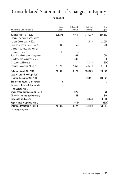# Consolidated Statements of Changes in Equity

(Unaudited)

|                                            | Share   | Contributed | Retained  | Total     |
|--------------------------------------------|---------|-------------|-----------|-----------|
| (thousands of Canadian dollars)            | Capital | Surplus     | Earnings  | Equity    |
| Balance, March 31, 2012                    | 203,373 | 7,039       | 145,220   | 355,632   |
| Earnings for the 39-week period            |         |             |           |           |
| ended December 29, 2012                    |         |             | 12,535    | 12,535    |
| Exercise of options (notes 7 and 8)        | 345     | (65)        |           | 280       |
| Directors' deferred share units            |         |             |           |           |
| converted (note 7)                         | 15      | (15)        |           |           |
| Stock-based compensation (note 8)          |         | 569         |           | 569       |
| Directors' compensation (note 8)           |         | 330         |           | 330       |
| Dividends paid (note 7)                    |         |             | (8,336)   | (8, 336)  |
| Balance, December 29, 2012                 | 203,733 | 7,858       | 149,419   | 361,010   |
| Balance, March 30, 2013                    | 203,805 | 8,128       | 138,389   | 350,322   |
| Loss for the 39-week period                |         |             |           |           |
| ended December 28, 2013                    |         |             | (16, 621) | (16, 621) |
| <b>Exercise of options</b> (notes 7 and 8) | 7       |             |           |           |
| Directors' deferred share units            |         |             |           |           |
| <b>converted</b> (note 7)                  |         |             |           |           |
| Stock-based compensation (note 8)          |         | 925         |           | 925       |
| <b>Directors' compensation (note 8)</b>    |         | 344         |           | 344       |
| Dividends paid (note 7)                    |         |             | (8,348)   | (8, 348)  |
| Repurchase of options (note 8)             |         | (975)       |           | (975)     |
| Balance, December 28, 2013                 | 203,812 | 8,422       | 113,420   | 325,654   |

See accompanying notes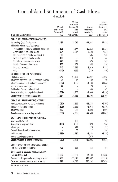# Consolidated Statements of Cash Flows

(Unaudited)

|                                                  |                      | 13-week                           |                      | 39-week                      |
|--------------------------------------------------|----------------------|-----------------------------------|----------------------|------------------------------|
|                                                  |                      | period ended                      |                      | period ended                 |
|                                                  | 13-week              | December 29,                      | 39-week              | December 29,                 |
|                                                  | period ended         | 2012                              | period ended         | 2012                         |
| (thousands of Canadian dollars)                  | December 28,<br>2013 | restated<br>(notes $3$ and $15$ ) | December 28,<br>2013 | restated<br>(notes 3 and 15) |
|                                                  |                      |                                   |                      |                              |
| <b>CASH FLOWS FROM OPERATING ACTIVITIES</b>      |                      |                                   |                      |                              |
| Net earnings (loss) for the period               | 8,497                | 22,035                            | (16, 621)            | 12,535                       |
| Add (deduct) items not affecting cash            |                      |                                   |                      |                              |
| Depreciation of property, plant and equipment    | 4,101                | 4,277                             | 12,214               | 13,325                       |
| Amortization of intangible assets                | 2,724                | 2,617                             | 8,198                | 7,554                        |
| Net impairment of capital assets (note 9)        | 505                  |                                   | 505                  | 250                          |
| Loss on disposal of capital assets               | 100                  | L.                                | 113                  | 44                           |
| Stock-based compensation (note 8)                | 228                  | 210                               | 925                  | 569                          |
| Directors' compensation (note 8)                 | 100                  | 101                               | 344                  | 330                          |
| Deferred tax assets                              | 19,240               | 7,676                             | 9,910                | 2,323                        |
| <b>Other</b>                                     | (442)                | (195)                             | (430)                | (440)                        |
| Net change in non-cash working capital           |                      |                                   |                      |                              |
| balances (note 12)                               | 79,640               | 91,363                            | 73,947               | 90,068                       |
| Interest on long-term debt and financing charges | 25                   | 17                                | 82                   | 69                           |
| Interest income on cash and cash equivalents     | (582)                | (685)                             | (1.766)              | (1,844)                      |
| Income taxes received (paid)                     | 27                   | $\overline{\phantom{0}}$          | 26                   | 45                           |
| Distributions from equity investment             | $\equiv$             |                                   | 359                  | 107                          |
| Share of earnings from equity investment         | (1,609)              | (1, 955)                          | (1,000)              | (1, 226)                     |
| Cash flows from operating activities             | 112.554              | 125,461                           | 86,806               | 123,709                      |
|                                                  |                      |                                   |                      |                              |
| <b>CASH FLOWS FROM INVESTING ACTIVITIES</b>      |                      |                                   |                      |                              |
| Purchase of property, plant and equipment        | (9,030)              | (3, 415)                          | (16, 188)            | (6,869)                      |
| Addition of intangible assets                    | (2,508)              | (2, 262)                          | (8,073)              | (6, 876)                     |
| Interest received                                | 582                  | 682                               | 1,823                | 1,900                        |
| Cash flows used in investing activities          | (10, 956)            | (4,995)                           | (22, 438)            | (11, 845)                    |
| <b>CASH FLOWS FROM FINANCING ACTIVITIES</b>      |                      |                                   |                      |                              |
| Notes payable (note 14)                          |                      | 190                               |                      | 190                          |
| Repayment of long-term debt                      | (189)                | (280)                             | (620)                | (964)                        |
| Interest paid                                    |                      | (41)                              | (70)                 | (127)                        |
| Proceeds from share issuances (note 7)           |                      | 50                                | 7                    | 280                          |
| Dividends paid                                   | (2,783)              | (2,780)                           | (8, 348)             | (8, 336)                     |
| Repurchase of options (note 8)                   |                      | $\qquad \qquad -$                 | (975)                |                              |
| Cash flows used in financing activities          | (2, 972)             | (2,861)                           | (10,006)             | (8,957)                      |
|                                                  |                      |                                   |                      |                              |
| Effect of foreign currency exchange rate changes |                      |                                   |                      |                              |
| on cash and cash equivalents                     | 406                  | 224                               | 368                  | 451                          |
| Net increase in cash and cash equivalents        |                      |                                   |                      |                              |
| during the period                                | 99,032               | 117,829                           | 54,730               | 103,358                      |
| Cash and cash equivalents, beginning of period   | 166,260              | 192,247                           | 210,562              | 206,718                      |
| Cash and cash equivalents, end of period         | 265,292              | 310,076                           | 265,292              | 310,076                      |
|                                                  |                      |                                   |                      |                              |

See accompanying notes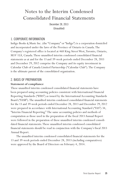# Notes to the Interim Condensed Consolidated Financial Statements

December 28, 2013 (Unaudited)

## 1. CORPORATE INFORMATION

Indigo Books *&* Music Inc. (the "Company" or "Indigo") is a corporation domiciled and incorporated under the laws of the Province of Ontario in Canada. The Company's registered office is located at 468 King Street West, Toronto, Ontario, M5V 1L8, Canada. These unaudited interim condensed consolidated financial statements as at and for the 13 and 39-week periods ended December 28, 2013 and December 29, 2012 comprise the Company and its equity investment in Calendar Club of Canada Limited Partnership ("Calendar Club"). The Company is the ultimate parent of the consolidated organization.

## 2. BASIS OF PREPARATION

### **Statement of compliance**

These unaudited interim condensed consolidated financial statements have been prepared using accounting policies consistent with International Financial Reporting Standards ("IFRS") as issued by the International Accounting Standards Board ("IASB"). The unaudited interim condensed consolidated financial statements for the 13 and 39-week periods ended December 28, 2013 and December 29, 2012 were prepared in accordance with International Accounting Standard ("IAS") 34, "Interim Financial Reporting." The same accounting policies and methods of computation as those used in the preparation of the fiscal 2013 Annual Report were followed in the preparation of these unaudited interim condensed consolidated financial statements. These unaudited interim condensed consolidated financial statements should be read in conjunction with the Company's fiscal 2013 Annual Report.

The unaudited interim condensed consolidated financial statements for the 13 and 39-week periods ended December 28, 2013 (including comparatives) were approved by the Board of Directors on February 4, 2014.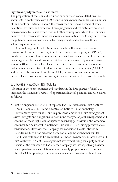### **Significant judgments and estimates**

The preparation of these unaudited interim condensed consolidated financial statements in conformity with IFRS requires management to undertake a number of judgments and estimates about the recognition and measurement of assets, liabilities, revenues, and expenses. These judgments and estimates are based on management's historical experience and other assumptions which the Company believes to be reasonable under the circumstances. Actual results may differ from the judgments and estimates made by management, and actual results will seldom equal estimates.

Material judgments and estimates are made with respect to: revenue recognition from unredeemed gift cards and plum rewards program ("Plum") points; fair value of Plum points; inventory shrinkage; reserves for slow-moving or damaged products and products that have been permanently marked down; vendor settlement; fair value of share-based instruments and number of equity instruments expected to vest; identification of cash generating units ("CGUs") and expected future cash flows from CGUs; depreciation and amortization periods; lease classification; and recognition and valuation of deferred tax assets.

## 3. CHANGES IN ACCOUNTING POLICIES

Adoption of these amendments and standards in the first quarter of fiscal 2014 impacted the Company's results of operations, financial position, and disclosures as follows:

• Joint Arrangements ("IFRS 11") replaces IAS 31, "Interests in Joint Ventures" ("IAS 31") and SIC-13, "Jointly-controlled Entities – Non-monetary Contributions by Venturers," and requires that a party in a joint arrangement assess its rights and obligations to determine the type of joint arrangement and account for those rights and obligations accordingly. Previously, the Company accounted for its interest in Calendar Club under IAS 31 using proportionate consolidation. However, the Company has concluded that its interest in Calendar Club will not meet the definition of a joint arrangement under IFRS 11 and will need to be accounted for under "Investments in Associates and Joint Ventures" ("IAS 28") as a significant investment using the equity method. As part of the transition to IAS 28, the Company has retrospectively restated its comparative financial statements to reclassify proportionately consolidated Calendar Club operating results into a single equity investment line. These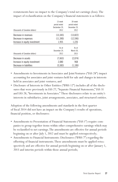|                                 | 13-week       | 39-week      |
|---------------------------------|---------------|--------------|
|                                 | period ended  | period ended |
|                                 | Dectember 29, | December 29, |
| (thousands of Canadian dollars) | 2012          | 2012         |
| Decrease in revenues            | (13, 345)     | (13,822)     |
| Decrease in expenses            | (11, 390)     | (12,596)     |
| Increase in equity investment   | 1,955         | 1,226        |
|                                 | As at         | As at        |
|                                 | December 29.  | March 30,    |
| (thousands of Canadian dollars) | 2012          | 2013         |
| Decrease in assets              | (7.663)       | (2,074)      |
| Increase in equity investment   | 2,080         | 968          |
| Decrease in liabilities         | (5.583)       | (1.106)      |

restatements have no impact to the Company's total net earnings (loss). The impact of reclassification on the Company's financial statements is as follows:

- Amendments to Investments in Associates and Joint Ventures ("IAS 28") impact accounting for associates and joint ventures held for sale and changes in interests held in associates and joint ventures; and
- Disclosure of Interests in Other Entities ("IFRS 12") includes all of the disclosures that were previously in IAS 27, "Separate Financial Statements," IAS 31 and IAS 28, "Investments in Associates." These disclosures relate to an entity's interests in subsidiaries, joint arrangements, associates, and structured entities.

Adoption of the following amendments and standards in the first quarter of fiscal 2014 did not have an impact on the Company's results of operations, financial position, or disclosures:

- Amendments to Presentation of Financial Statements ("IAS 1") require companies to group together items within other comprehensive earnings which may be reclassified to net earnings. The amendments are effective for annual periods beginning on or after July 1, 2012 and must be applied retrospectively;
- Amendments to Financial Instruments: Disclosures ("IFRS 7") regarding the offsetting of financial instruments. These amendments must be applied retrospectively and are effective for annual periods beginning on or after January 1, 2013 and interim periods within those annual periods;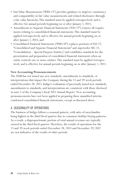- Fair Value Measurement ("IFRS 13") provides guidance to improve consistency and comparability in fair value measurements and related disclosures through a fair value hierarchy. This standard must be applied retrospectively and is effective for annual periods beginning on or after January 1, 2013;
- Amendments to Separate Financial Statements ("IAS 27") remove all requirements relating to consolidated financial statements. This standard must be applied retrospectively and is effective for annual periods beginning on or after January 1, 2013; and
- Consolidated Financial Statements ("IFRS 10") replaces portions of IAS 27, "Consolidated and Separate Financial Statements" and supersedes SIC-12, "Consolidation – Special Purpose Entities," and establishes standards for the presentation and preparation of consolidated financial statements when an entity controls one or more entities. This standard must be applied retrospectively and is effective for annual periods beginning on or after January 1, 2013.

### **New Accounting Pronouncements**

The IASB has not issued any new standards, amendments to standards, or interpretations that impact the Company during the 13 and 39-week periods ended December 28, 2013. Indigo's evaluations of previously issued new standards, amendments to standards, and interpretations are consistent with those disclosed in note 5 of the Company's fiscal 2013 Annual Report. New accounting pronouncements have not been applied in preparing these unaudited interim condensed consolidated financial statements, except as discussed above.

## 4. SEASONALITY OF OPERATIONS

The business of Indigo follows a seasonal pattern, with sales of merchandise being highest in the third fiscal quarter due to consumer holiday buying patterns. As a result, a disproportionate portion of total annual revenues are typically earned in the third fiscal quarter. Therefore, the results of operations for the 13 and 39-week periods ended December 28, 2013 and December 29, 2012 are not indicative of the results of other periods.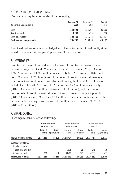# 5. CASH AND CASH EQUIVALENTS

Cash and cash equivalents consist of the following:

| (thousands of Canadian dollars) | December 28.<br>2013 | December 29,<br>2012 | March 30,<br>2013 |
|---------------------------------|----------------------|----------------------|-------------------|
| Cash                            | 139.595              | 188.294              | 88.268            |
| Restricted cash                 | 3.238                | 439                  | 470               |
| Cash equivalents                | 122.459              | 121.343              | 121.824           |
| Cash and cash equivalents       | 265.292              | 310.076              | 210.562           |

Restricted cash represents cash pledged as collateral for letter of credit obligations issued to support the Company's purchases of merchandise.

## 6. INVENTORIES

Inventories consist of finished goods. The cost of inventories recognized as an expense during the 13 and 39-week periods ended December 28, 2013 were \$192.7 million and \$389.7 million, respectively (2012: 13 weeks – \$187.1 million; 39 weeks – \$395.6 million). The amount of inventory write-downs as a result of net realizable value lower than cost during the 13 and 39-week periods ended December 28, 2013 were \$1.2 million and \$5.6 million, respectively  $(2012: 13$  weeks – \$1.3 million; 39 weeks – \$3.8 million), and there were no reversals of inventory write-downs that were recognized in prior periods (2012: 13 weeks – nil; 39 weeks – \$2.1 million). The amount of inventory with net realizable value equal to cost was \$1.0 million as at December 28, 2013  $(2012 - $1.5 \text{ million}).$ 

## 7. SHARE CAPITAL

Share capital consists of the following:

|                              |                     | 39-week period ended<br>December 28, 2013 |                     | 39-week period ended<br>December 29, 2012 |                     | 52-week period ended<br>March 30, 2013 |  |
|------------------------------|---------------------|-------------------------------------------|---------------------|-------------------------------------------|---------------------|----------------------------------------|--|
|                              | Number of<br>shares | Amount<br>C\$ (thousands)                 | Number of<br>shares | Amount<br>C\$ (thousands)                 | Number of<br>shares | Amount<br>C\$ (thousands)              |  |
| Balance, beginning of period | 25,297,389          | 203.805                                   | 25,238,414          | 203.373                                   | 25,238,414          | 203,373                                |  |
| Issued during the period     |                     |                                           |                     |                                           |                     |                                        |  |
| Directors' deferred          |                     |                                           |                     |                                           |                     |                                        |  |
| share units converted        |                     |                                           | 1.075               | 15                                        | 1.075               | 15                                     |  |
| Options exercised            | 850                 |                                           | 48.400              | 345                                       | 57.900              | 417                                    |  |
| Balance, end of period       | 25,298,239          | 203.812                                   | 25.287.889          | 203.733                                   | 25,297,389          | 203.805                                |  |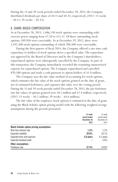During the 13 and 39-week periods ended December 28, 2013, the Company distributed dividends per share of \$0.11 and \$0.33, respectively (2012: 13 weeks – \$0.11; 39 weeks – \$0.33).

### 8. SHARE-BASED COMPENSATION

As at December 28, 2013, 1,486,150 stock options were outstanding with exercise prices ranging from \$7.20 to \$15.21. Of these outstanding stock options, 189,950 were exercisable. As at December 29, 2012, there were 1,592,500 stock options outstanding of which 700,500 were exercisable.

During the first quarter of fiscal 2014, the Company offered a one-time cash repurchase to holders of stock options above a specified value. The repurchase was approved by the Board of Directors and by the Company's shareholders; repurchased options were subsequently cancelled by the Company. As part of this transaction, the Company immediately recorded the remaining unamortized expense for repurchased options. The Company repurchased and cancelled 870,500 options and made a cash payment to option holders of \$1.0 million.

The Company uses the fair value method of accounting for stock options, which estimates the fair value of the stock options granted on the date of grant, net of estimated forfeitures, and expenses this value over the vesting period. During the 13 and 39-week periods ended December 28, 2013, the pre-forfeiture rate fair values of options granted were \$0.1 million and \$2.4 million, respectively (2012: 13 weeks – \$0.2 million; 39 weeks – \$0.6 million).

The fair value of the employee stock options is estimated at the date of grant using the Black-Scholes option pricing model with the following weighted average assumptions during the periods presented:

|                                                 | 13-week<br>period ended<br>December 28.<br>2013 | 13-week<br>period ended<br>December 29,<br>2012 |
|-------------------------------------------------|-------------------------------------------------|-------------------------------------------------|
| <b>Black-Scholes option pricing assumptions</b> |                                                 |                                                 |
| Risk-free interest rate                         | 1.3%                                            | 1.2%                                            |
| Expected volatility                             | 35.0%                                           | 36.1%                                           |
| Expected time until exercise                    | 3.0 years                                       | 4.2 years                                       |
| Expected dividend yield                         |                                                 | 5.0%                                            |
| Other assumptions                               |                                                 |                                                 |
| Forfeiture rate                                 | 27.4%                                           | 24.8%                                           |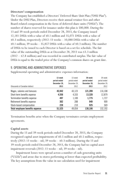### **Directors' compensation**

The Company has established a Directors' Deferred Share Unit Plan ("DSU Plan"). Under the DSU Plan, Directors receive their annual retainer fees and other Board-related compensation in the form of deferred share units ("DSUs"). The number of shares reserved for issuance under this plan is 500,000. During the 13 and 39-week periods ended December 28, 2013, the Company issued 12,181 DSUs with a value of \$0.1 million and 35,071 DSUs with a value of \$0.3 million, respectively (2012: 13 weeks – 10,088 DSUs with a value of \$0.1 million; 39 weeks – 35,857 DSUs with a value of \$0.3 million). The number of DSUs to be issued to each Director is based on a set fee schedule. The fair value of the outstanding DSUs as at December 28, 2013 was \$3.3 million (2012 – \$2.8 million) and was recorded in contributed surplus. The fair value of DSUs is equal to the traded price of the Company's common shares on grant date.

| (thousands of Canadian dollars) | 13-week<br>period ended<br>December 28.<br>2013 | 13-week<br>period ended<br>December 29.<br>2012 | 39-week<br>period ended<br>December 28.<br>2013 | 39-week<br>period ended<br>December 29,<br>2012 |
|---------------------------------|-------------------------------------------------|-------------------------------------------------|-------------------------------------------------|-------------------------------------------------|
| Wages, salaries and bonuses     | 45.942                                          | 43.123                                          | 121,209                                         | 116,108                                         |
| Short-term benefits expense     | 4.556                                           | 4.333                                           | 13,328                                          | 12,879                                          |
| Termination benefits expense    | 497                                             | 1,100                                           | 1.775                                           | 1.727                                           |
| Retirement benefits expense     | 302                                             | 288                                             | 949                                             | 909                                             |
| Stock-based compensation        | 228                                             | 210                                             | 925                                             | 569                                             |
| Total employee benefits expense | 51,525                                          | 49.054                                          | 138.186                                         | 132.192                                         |

## 9. OPERATING AND ADMINISTRATIVE EXPENSES

Supplemental operating and administrative expenses information:

Termination benefits arise when the Company terminates certain employment agreements.

### **Capital assets**

During the 13 and 39-week periods ended December 28, 2013, the Company recognized capital asset impairments of \$0.5 million and \$0.5 million, respectively (2012: 13 weeks – nil; 39 weeks – \$0.3 million). During the 13 and 39-week periods ended December 28, 2013, the Company had no capital asset impairment reversals (2012: 13 weeks – nil; 39 weeks – nil).

Impairment losses were spread across a number of cash-generating units ("CGUs") and arose due to stores performing at lower-than-expected profitability. The key assumptions from the value in use calculation used for impairment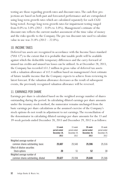testing are those regarding growth rates and discount rates. The cash flow projections are based on both past and forecasted performance and are extrapolated using long-term growth rates which are calculated separately for each CGU being tested. Average long-term growth rates for impairment testing ranged from  $0.0\%$  to  $3.0\%$  (2012 –  $0.0\%$  to  $3.0\%$ ). Management's estimate of the discount rate reflects the current market assessment of the time value of money and the risks specific to the Company. The pre-tax discount rate used to calculate value in use was  $21.8\%$  (2012 – 22.0%).

## 10. INCOME TAXES

Deferred tax assets are recognized in accordance with the Income Taxes standard ("IAS 12") to the extent that it is probable that taxable profit will be available against which the deductible temporary differences and the carry-forward of unused tax credits and unused tax losses can be utilized. As at December 28, 2013, the Company has recorded \$51.2 million in gross value of deferred tax assets with a valuation allowance of \$12.4 million based on management's best estimate of future taxable income that the Company expects to achieve from reviewing its latest forecast. If the valuation allowance decreases as the result of subsequent events, the previously recognized valuation allowance will be reversed.

## 11. EARNINGS PER SHARE

Earnings per share is calculated based on the weighted average number of shares outstanding during the period. In calculating diluted earnings per share amounts under the treasury stock method, the numerator remains unchanged from the basic earnings per share calculations as the assumed exercise of the Company's stock options do not result in adjustment to net earnings. The reconciliation of the denominator in calculating diluted earnings per share amounts for the 13 and 39-week periods ended December 28, 2013 and December 29, 2012 is as follows:

|                                                                | 13-week<br>period ended<br>December 28.<br>2013 | 13-week<br>period ended<br>December 29.<br>2012 | 39-week<br>period ended<br>December 28.<br>2013 | 39-week<br>period ended<br>December 29,<br>2012 |
|----------------------------------------------------------------|-------------------------------------------------|-------------------------------------------------|-------------------------------------------------|-------------------------------------------------|
| Weighted average number of<br>common shares outstanding, basic | 25.607                                          | 25.543                                          | 25.596                                          | 25,516                                          |
| Effect of dilutive securities                                  |                                                 |                                                 |                                                 |                                                 |
| Stock options                                                  | 20                                              | 51                                              | 52                                              | 30                                              |
| Weighted average number of                                     |                                                 |                                                 |                                                 |                                                 |
| common shares outstanding, diluted                             | 25.627                                          | 25.594                                          | 25.648                                          | 25,546                                          |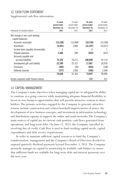# 12. CASH FLOW STATEMENT

Supplemental cash flow information:

|                                      | 13-week<br>period ended | 13-week<br>period ended<br>December 29, | 39-week<br>period ended<br>December 28, | 39-week<br>period ended<br>December 29, |
|--------------------------------------|-------------------------|-----------------------------------------|-----------------------------------------|-----------------------------------------|
|                                      | December 28,            |                                         |                                         |                                         |
| (thousands of Canadian dollars)      | 2013                    | 2012                                    | 2013                                    | 2012                                    |
| Net change in non-cash working       |                         |                                         |                                         |                                         |
| capital balances:                    |                         |                                         |                                         |                                         |
| Accounts receivable                  | (13, 226)               | (12,884)                                | (18, 720)                               | (14, 348)                               |
| Inventories                          | (5,841)                 | 2,860                                   | (31, 247)                               | (10,637)                                |
| Income taxes payable (recoverable)   |                         |                                         |                                         |                                         |
| Prepaid expenses                     | 1,566                   | 509                                     | (922)                                   | (452)                                   |
| Accounts payable and                 |                         |                                         |                                         |                                         |
| accrued liabilities                  | 75.379                  | 74,211                                  | 108.940                                 | 92,114                                  |
| Unredeemed gift card liability       | 22,240                  | 25,727                                  | 17,087                                  | 20,928                                  |
| Provisions                           | (202)                   | (60)                                    | (644)                                   | (186)                                   |
| Deferred revenue                     | (277)                   | 1,000                                   | (548)                                   | 2,648                                   |
|                                      | 79.640                  | 91,363                                  | 73.947                                  | 90,068                                  |
| Assets acquired under finance leases |                         |                                         | 137                                     | 421                                     |

## 13. CAPITAL MANAGEMENT

The Company's main objectives when managing capital are to safeguard its ability to continue as a going concern while maintaining adequate financial flexibility to invest in new business opportunities that will provide attractive returns to shareholders. The primary activities engaged by the Company to generate attractive returns include construction and related leasehold improvements of stores, the development of new business concepts, and investment in information technology and distribution capacity to support the online and retail networks. The Company's main sources of capital are its current cash position, cash flows generated from operations, and long-term debt. On June 12, 2013, the Company cancelled its revolving line of credit. Cash flow is used to fund working capital needs, capital expenditures and debt service requirements.

In order to maintain sufficient capital resources to fund the Company's transformation, management and the Company's Board of Directors decided to suspend quarterly dividend payments beyond December 3, 2013. The Company primarily manages its capital by monitoring its available cash balance to ensure that sufficient funds are available for long-term debt and interest payments over the next year.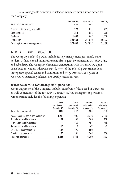The following table summarizes selected capital structure information for the Company:

|                                   | December 28. | December 29. | March 30, |
|-----------------------------------|--------------|--------------|-----------|
| (thousands of Canadian dollars)   | 2013         | 2012         | 2013      |
| Current portion of long-term debt | 727          | 811          | 773       |
| Long-term debt                    | 275          | 856          | 705       |
| Total debt                        | 1.002        | 1.667        | 1.478     |
| Total equity                      | 325.654      | 361.010      | 350.322   |
| Total capital under management    | 326.656      | 362.677      | 351,800   |

## 14. RELATED PARTY TRANSACTIONS

The Company's related parties include its key management personnel, share holders, defined contribution retirement plan, equity investment in Calendar Club, and subsidiary. The Company eliminates transactions with its subsidiary upon consolidation. Unless otherwise stated, none of the related party transactions incorporate special terms and conditions and no guarantees were given or received. Outstanding balances are usually settled in cash.

### **Transactions with key management personnel**

Key management of the Company includes members of the Board of Directors as well as members of the Executive Committee. Key management personnel remuneration includes the following expenses:

| (thousands of Canadian dollars)       | 13-week<br>period ended<br>December 28.<br>2013 | 13-week<br>period ended<br>December 29.<br>2012 | 39-week<br>period ended<br>December 28.<br>2013 | 39-week<br>period ended<br>December 29.<br>2012 |
|---------------------------------------|-------------------------------------------------|-------------------------------------------------|-------------------------------------------------|-------------------------------------------------|
| Wages, salaries, bonus and consulting | 1,236                                           | 996                                             | 3,746                                           | 3,092                                           |
| Short-term benefits expense           | 51                                              | 55                                              | 166                                             | 158                                             |
| Termination benefits expense          |                                                 | 450                                             | 457                                             | 450                                             |
| Retirement benefits expense           | 13                                              | 16                                              | 47                                              | 49                                              |
| Stock-based compensation              | 155                                             | 126                                             | 590                                             | 314                                             |
| Directors' compensation               | 100                                             | 101                                             | 344                                             | 330                                             |
| <b>Total remuneration</b>             | 1.555                                           | 1.744                                           | 5.350                                           | 4,393                                           |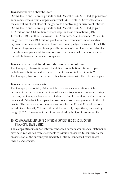### **Transactions with shareholders**

During the 13 and 39-week periods ended December 28, 2013, Indigo purchased goods and services from companies in which Mr. Gerald W. Schwartz, who is the controlling shareholder of Indigo, holds a controlling or significant interest. During the 13 and 39-week periods ended December 28, 2013, Indigo paid \$3.2 million and \$4.6 million, respectively, for these transactions (2012: 13 weeks – \$0.2 million; 39 weeks – \$0.2 million). As at December 28, 2013, Indigo had less than \$0.1 million payable to these companies under standard payment terms and \$2.8 million of restricted cash pledged as collateral for letter of credit obligations issued to support the Company's purchases of merchandise from these companies. All transactions were in the normal course of business for both Indigo and the related companies.

### **Transactions with defined contribution retirement plan**

The Company's transactions with the defined contribution retirement plan include contributions paid to the retirement plan as disclosed in note 9. The Company has not entered into other transactions with the retirement plan.

### **Transactions with associate**

The Company's associate, Calendar Club, is a seasonal operation which is dependent on the December holiday sales season to generate revenues. During the year, the Company loans cash to Calendar Club for working capital requirements and Calendar Club repays the loans once profits are generated in the third quarter. The net amount of these transactions for the 13 and 39-week periods ended December 28, 2013 was \$4.5 million and nil, respectively, received by Indigo (2012: 13 weeks – \$3.5 million received by Indigo; 39 weeks – nil).

# 15. COMPARATIVE UNAUDITED INTERIM CONDENSED CONSOLIDATED FINANCIAL STATEMENTS

The comparative unaudited interim condensed consolidated financial statements have been reclassified from statements previously presented to conform to the presentation of the current year unaudited interim condensed consolidated financial statements.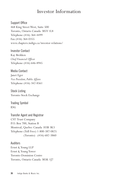# Investor Information

Support Office 468 King Street West, Suite 500 Toronto, Ontario Canada M5V 1L8 Telephone (416) 364-4499 Fax (416) 364-0355 www.chapters.indigo.ca/investor-relations/

Investor Contact Kay Brekken *Chief Financial Officer* Telephone (416) 646-8945

Media Contact Janet Eger *Vice President, Public Affairs* Telephone (416) 342-8561

Stock Listing Toronto Stock Exchange

Trading Symbol IDG

Transfer Agent and Registrar CST Trust Company P.O. Box 700, Station B Montreal, Quebec Canada H3B 3K3 Telephone (Toll Free) 1-800-387-0825 (Toronto) (416) 682-3860

Auditors Ernst *&* Young LLP Ernst *&* Young Tower Toronto-Dominion Centre Toronto, Ontario Canada M5K 1J7